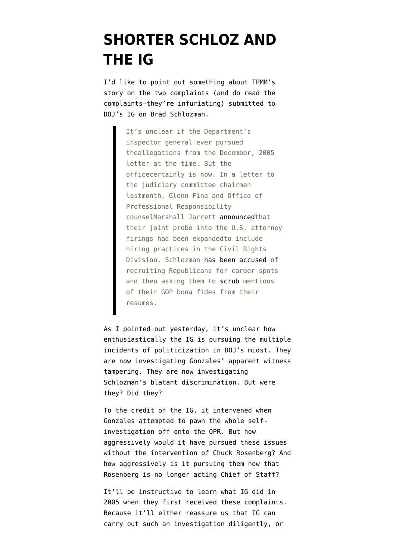## **[SHORTER SCHLOZ AND](https://www.emptywheel.net/2007/06/15/shorter-schloz-and-the-ig/) [THE IG](https://www.emptywheel.net/2007/06/15/shorter-schloz-and-the-ig/)**

I'd like to point out something about [TPMM's](http://www.tpmmuckraker.com/archives/003436.php#more) [story](http://www.tpmmuckraker.com/archives/003436.php#more) on the [two complaints](http://www.talkingpointsmemo.com/docs/anonymous-ig/?resultpage=1&) (and do read the complaints–they're infuriating) submitted to DOJ's IG on Brad Schlozman.

> It's unclear if the Department's inspector general ever pursued theallegations from the December, 2005 letter at the time. But the officecertainly is now. In a letter to the judiciary committee chairmen lastmonth, Glenn Fine and Office of Professional Responsibility counselMarshall Jarrett [announced](http://www.tpmmuckraker.com/archives/003316.php)that their joint probe into the U.S. attorney firings had been expandedto include hiring practices in the Civil Rights Division. Schlozman [has been accused](http://www.tpmmuckraker.com/archives/003081.php) of recruiting Republicans for career spots and then asking them to [scrub](http://www.realcities.com/mld/krwashington/news/columnists/greg_gordon/17188481.htm) mentions of their GOP bona fides from their resumes.

As I [pointed out yesterday,](http://thenexthurrah.typepad.com/the_next_hurrah/2007/06/gonzales_may_be.html) it's unclear how enthusiastically the IG is pursuing the multiple incidents of politicization in DOJ's midst. They are now investigating Gonzales' apparent witness tampering. They are now investigating Schlozman's blatant discrimination. But were they? Did they?

To the credit of the IG, it intervened when Gonzales [attempted](http://thenexthurrah.typepad.com/the_next_hurrah/2007/04/whitehouse_bust.html) to pawn the whole selfinvestigation off onto the OPR. But how aggressively would it have pursued these issues without the intervention of Chuck Rosenberg? And how aggressively is it pursuing them now that Rosenberg is no longer acting Chief of Staff?

It'll be instructive to learn what IG did in 2005 when they first received these complaints. Because it'll either reassure us that IG can carry out such an investigation diligently, or